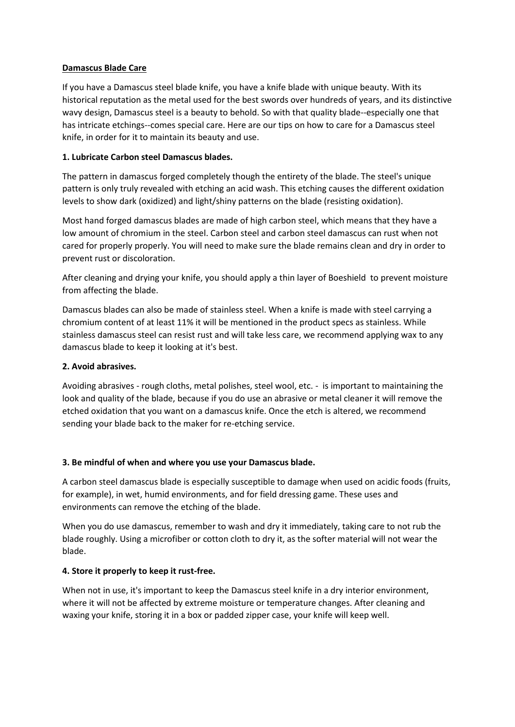### **Damascus Blade Care**

If you have a Damascus steel blade knife, you have a knife blade with unique beauty. With its historical reputation as the metal used for the best swords over hundreds of years, and its distinctive wavy design, Damascus steel is a beauty to behold. So with that quality blade--especially one that has intricate etchings--comes special care. Here are our tips on how to care for a Damascus steel knife, in order for it to maintain its beauty and use.

## **1. Lubricate Carbon steel Damascus blades.**

The pattern in damascus forged completely though the entirety of the blade. The steel's unique pattern is only truly revealed with etching an acid wash. This etching causes the different oxidation levels to show dark (oxidized) and light/shiny patterns on the blade (resisting oxidation).

Most hand forged damascus blades are made of high carbon steel, which means that they have a low amount of chromium in the steel. Carbon steel and carbon steel damascus can rust when not cared for properly properly. You will need to make sure the blade remains clean and dry in order to prevent rust or discoloration.

After cleaning and drying your knife, you should apply a thin layer of Boeshield to prevent moisture from affecting the blade.

Damascus blades can also be made of stainless steel. When a knife is made with steel carrying a chromium content of at least 11% it will be mentioned in the product specs as stainless. While stainless damascus steel can resist rust and will take less care, we recommend applying wax to any damascus blade to keep it looking at it's best.

## **2. Avoid abrasives.**

Avoiding abrasives - rough cloths, metal polishes, steel wool, etc. - is important to maintaining the look and quality of the blade, because if you do use an abrasive or metal cleaner it will remove the etched oxidation that you want on a damascus knife. Once the etch is altered, we recommend sending your blade back to the maker for re-etching service.

# **3. Be mindful of when and where you use your Damascus blade.**

A carbon steel damascus blade is especially susceptible to damage when used on acidic foods (fruits, for example), in wet, humid environments, and for field dressing game. These uses and environments can remove the etching of the blade.

When you do use damascus, remember to wash and dry it immediately, taking care to not rub the blade roughly. Using a microfiber or cotton cloth to dry it, as the softer material will not wear the blade.

# **4. Store it properly to keep it rust-free.**

When not in use, it's important to keep the Damascus steel knife in a dry interior environment, where it will not be affected by extreme moisture or temperature changes. After cleaning and waxing your knife, storing it in a box or padded zipper case, your knife will keep well.